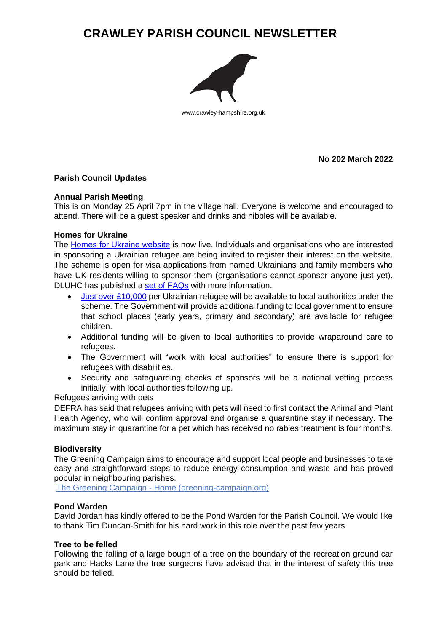# **CRAWLEY PARISH COUNCIL NEWSLETTER**



www.crawley-hampshire.org.uk

**No 202 March 2022**

# **Parish Council Updates**

# **Annual Parish Meeting**

This is on Monday 25 April 7pm in the village hall. Everyone is welcome and encouraged to attend. There will be a guest speaker and drinks and nibbles will be available.

# **Homes for Ukraine**

The [Homes for Ukraine website](https://homesforukraine.campaign.gov.uk/) is now live. Individuals and organisations who are interested in sponsoring a Ukrainian refugee are being invited to register their interest on the website. The scheme is open for visa applications from named Ukrainians and family members who have UK residents willing to sponsor them (organisations cannot sponsor anyone just yet). DLUHC has published a [set of FAQs](https://www.gov.uk/guidance/homes-for-ukraine-scheme-frequently-asked-questions) with more information.

- [Just over £10,000](https://news.sky.com/story/ukraine-war-tens-of-thousands-of-ukrainian-refugees-could-come-to-uk-with-10-000-funding-per-individual-says-michael-gove-12564972) per Ukrainian refugee will be available to local authorities under the scheme. The Government will provide additional funding to local government to ensure that school places (early years, primary and secondary) are available for refugee children.
- Additional funding will be given to local authorities to provide wraparound care to refugees.
- The Government will "work with local authorities" to ensure there is support for refugees with disabilities.
- Security and safeguarding checks of sponsors will be a national vetting process initially, with local authorities following up.

# Refugees arriving with pets

DEFRA has said that refugees arriving with pets will need to first contact the Animal and Plant Health Agency, who will confirm approval and organise a quarantine stay if necessary. The maximum stay in quarantine for a pet which has received no rabies treatment is four months.

# **Biodiversity**

The Greening Campaign aims to encourage and support local people and businesses to take easy and straightforward steps to reduce energy consumption and waste and has proved popular in neighbouring parishes.

The Greening Campaign - [Home \(greening-campaign.org\)](http://www.greening-campaign.org/)

# **Pond Warden**

David Jordan has kindly offered to be the Pond Warden for the Parish Council. We would like to thank Tim Duncan-Smith for his hard work in this role over the past few years.

#### **Tree to be felled**

Following the falling of a large bough of a tree on the boundary of the recreation ground car park and Hacks Lane the tree surgeons have advised that in the interest of safety this tree should be felled.